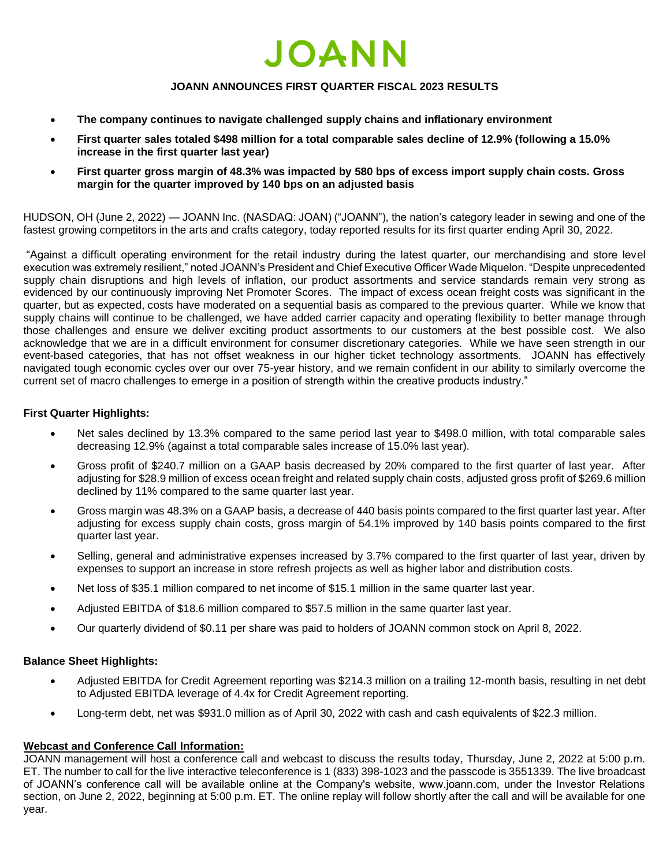

#### **JOANN ANNOUNCES FIRST QUARTER FISCAL 2023 RESULTS**

- **The company continues to navigate challenged supply chains and inflationary environment**
- **First quarter sales totaled \$498 million for a total comparable sales decline of 12.9% (following a 15.0% increase in the first quarter last year)**
- **First quarter gross margin of 48.3% was impacted by 580 bps of excess import supply chain costs. Gross margin for the quarter improved by 140 bps on an adjusted basis**

HUDSON, OH (June 2, 2022) — JOANN Inc. (NASDAQ: JOAN) ("JOANN"), the nation's category leader in sewing and one of the fastest growing competitors in the arts and crafts category, today reported results for its first quarter ending April 30, 2022.

"Against a difficult operating environment for the retail industry during the latest quarter, our merchandising and store level execution was extremely resilient," noted JOANN's President and Chief Executive Officer Wade Miquelon. "Despite unprecedented supply chain disruptions and high levels of inflation, our product assortments and service standards remain very strong as evidenced by our continuously improving Net Promoter Scores. The impact of excess ocean freight costs was significant in the quarter, but as expected, costs have moderated on a sequential basis as compared to the previous quarter. While we know that supply chains will continue to be challenged, we have added carrier capacity and operating flexibility to better manage through those challenges and ensure we deliver exciting product assortments to our customers at the best possible cost. We also acknowledge that we are in a difficult environment for consumer discretionary categories. While we have seen strength in our event-based categories, that has not offset weakness in our higher ticket technology assortments. JOANN has effectively navigated tough economic cycles over our over 75-year history, and we remain confident in our ability to similarly overcome the current set of macro challenges to emerge in a position of strength within the creative products industry."

#### **First Quarter Highlights:**

- Net sales declined by 13.3% compared to the same period last year to \$498.0 million, with total comparable sales decreasing 12.9% (against a total comparable sales increase of 15.0% last year).
- Gross profit of \$240.7 million on a GAAP basis decreased by 20% compared to the first quarter of last year. After adjusting for \$28.9 million of excess ocean freight and related supply chain costs, adjusted gross profit of \$269.6 million declined by 11% compared to the same quarter last year.
- Gross margin was 48.3% on a GAAP basis, a decrease of 440 basis points compared to the first quarter last year. After adjusting for excess supply chain costs, gross margin of 54.1% improved by 140 basis points compared to the first quarter last year.
- Selling, general and administrative expenses increased by 3.7% compared to the first quarter of last year, driven by expenses to support an increase in store refresh projects as well as higher labor and distribution costs.
- Net loss of \$35.1 million compared to net income of \$15.1 million in the same quarter last year.
- Adjusted EBITDA of \$18.6 million compared to \$57.5 million in the same quarter last year.
- Our quarterly dividend of \$0.11 per share was paid to holders of JOANN common stock on April 8, 2022.

#### **Balance Sheet Highlights:**

- Adjusted EBITDA for Credit Agreement reporting was \$214.3 million on a trailing 12-month basis, resulting in net debt to Adjusted EBITDA leverage of 4.4x for Credit Agreement reporting.
- Long-term debt, net was \$931.0 million as of April 30, 2022 with cash and cash equivalents of \$22.3 million.

#### **Webcast and Conference Call Information:**

JOANN management will host a conference call and webcast to discuss the results today, Thursday, June 2, 2022 at 5:00 p.m. ET. The number to call for the live interactive teleconference is 1 (833) 398-1023 and the passcode is 3551339. The live broadcast of JOANN's conference call will be available online at the Company's website, www.joann.com, under the Investor Relations section, on June 2, 2022, beginning at 5:00 p.m. ET. The online replay will follow shortly after the call and will be available for one year.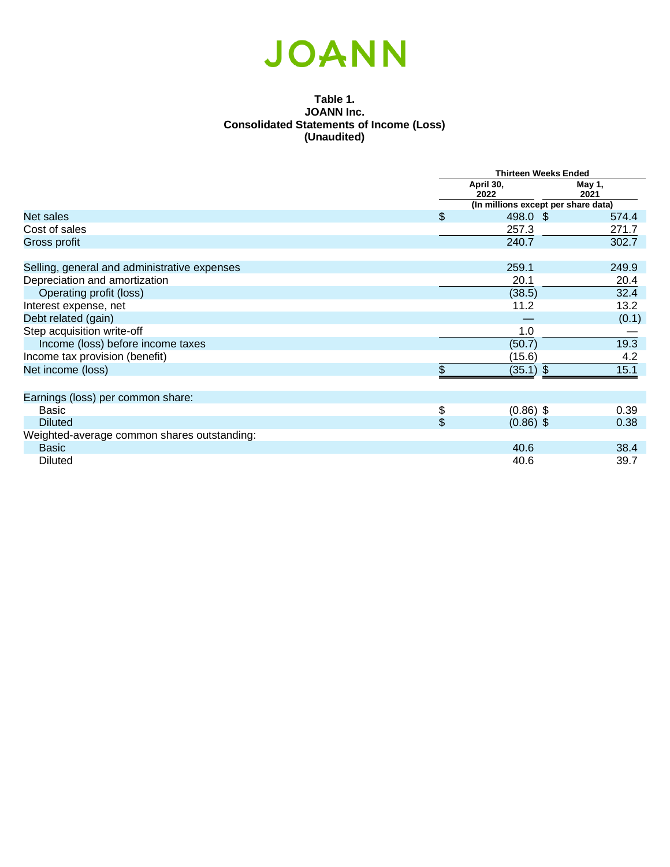#### **Table 1. JOANN Inc. Consolidated Statements of Income (Loss) (Unaudited)**

|                                              |                           | <b>Thirteen Weeks Ended</b>         |                |  |
|----------------------------------------------|---------------------------|-------------------------------------|----------------|--|
|                                              |                           | April 30,<br>2022                   | May 1,<br>2021 |  |
|                                              |                           | (In millions except per share data) |                |  |
| Net sales                                    | \$                        | 498.0 \$                            | 574.4          |  |
| Cost of sales                                |                           | 257.3                               | 271.7          |  |
| Gross profit                                 |                           | 240.7                               | 302.7          |  |
| Selling, general and administrative expenses |                           | 259.1                               | 249.9          |  |
| Depreciation and amortization                |                           | 20.1                                | 20.4           |  |
| Operating profit (loss)                      |                           | (38.5)                              | 32.4           |  |
| Interest expense, net                        |                           | 11.2                                | 13.2           |  |
| Debt related (gain)                          |                           |                                     | (0.1)          |  |
| Step acquisition write-off                   |                           | 1.0                                 |                |  |
| Income (loss) before income taxes            |                           | (50.7)                              | 19.3           |  |
| Income tax provision (benefit)               |                           | (15.6)                              | 4.2            |  |
| Net income (loss)                            | \$                        | $(35.1)$ \$                         | 15.1           |  |
| Earnings (loss) per common share:            |                           |                                     |                |  |
| <b>Basic</b>                                 | \$                        | $(0.86)$ \$                         | 0.39           |  |
| <b>Diluted</b>                               | $\boldsymbol{\mathsf{S}}$ | $(0.86)$ \$                         | 0.38           |  |
| Weighted-average common shares outstanding:  |                           |                                     |                |  |
| <b>Basic</b>                                 |                           | 40.6                                | 38.4           |  |
| <b>Diluted</b>                               |                           | 40.6                                | 39.7           |  |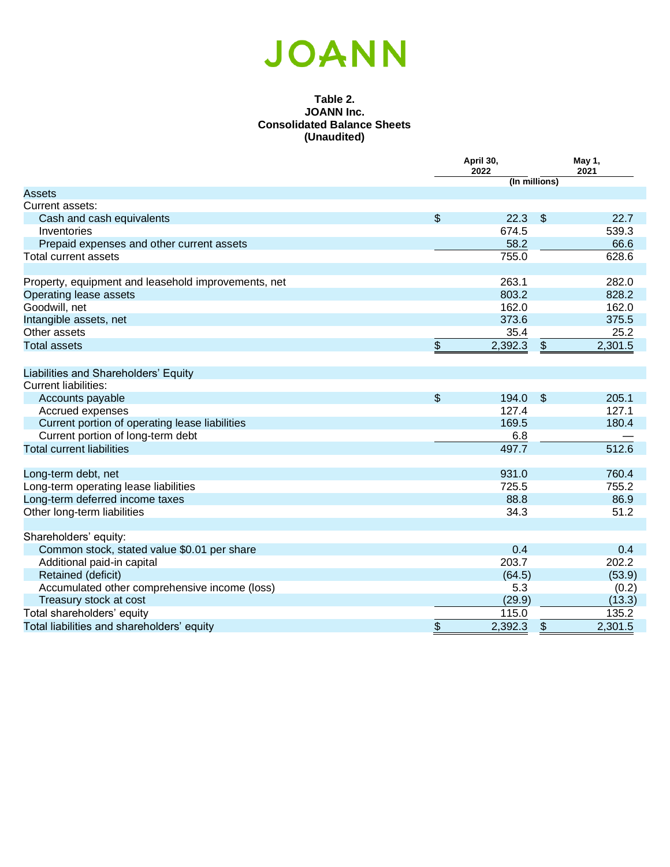#### **Table 2. JOANN Inc. Consolidated Balance Sheets (Unaudited)**

|                                                                     |                           | April 30,<br>2022 |                           | May 1,<br>2021 |  |
|---------------------------------------------------------------------|---------------------------|-------------------|---------------------------|----------------|--|
|                                                                     |                           | (In millions)     |                           |                |  |
| <b>Assets</b>                                                       |                           |                   |                           |                |  |
| Current assets:                                                     |                           |                   |                           |                |  |
| Cash and cash equivalents                                           | $\boldsymbol{\mathsf{S}}$ | 22.3              | \$                        | 22.7           |  |
| Inventories                                                         |                           | 674.5             |                           | 539.3          |  |
| Prepaid expenses and other current assets                           |                           | 58.2              |                           | 66.6           |  |
| <b>Total current assets</b>                                         |                           | 755.0             |                           | 628.6          |  |
| Property, equipment and leasehold improvements, net                 |                           | 263.1             |                           | 282.0          |  |
| Operating lease assets                                              |                           | 803.2             |                           | 828.2          |  |
| Goodwill, net                                                       |                           | 162.0             |                           | 162.0          |  |
| Intangible assets, net                                              |                           | 373.6             |                           | 375.5          |  |
| Other assets                                                        |                           | 35.4              |                           | 25.2           |  |
| <b>Total assets</b>                                                 | $\frac{1}{2}$             | 2,392.3           | $\boldsymbol{\mathsf{S}}$ | 2,301.5        |  |
|                                                                     |                           |                   |                           |                |  |
| Liabilities and Shareholders' Equity<br><b>Current liabilities:</b> |                           |                   |                           |                |  |
|                                                                     | $\frac{1}{2}$             | 194.0             | \$                        | 205.1          |  |
| Accounts payable<br>Accrued expenses                                |                           | 127.4             |                           | 127.1          |  |
| Current portion of operating lease liabilities                      |                           | 169.5             |                           | 180.4          |  |
| Current portion of long-term debt                                   |                           | 6.8               |                           |                |  |
| <b>Total current liabilities</b>                                    |                           | 497.7             |                           | 512.6          |  |
|                                                                     |                           |                   |                           |                |  |
| Long-term debt, net                                                 |                           | 931.0             |                           | 760.4          |  |
| Long-term operating lease liabilities                               |                           | 725.5             |                           | 755.2          |  |
| Long-term deferred income taxes                                     |                           | 88.8              |                           | 86.9           |  |
| Other long-term liabilities                                         |                           | 34.3              |                           | 51.2           |  |
| Shareholders' equity:                                               |                           |                   |                           |                |  |
| Common stock, stated value \$0.01 per share                         |                           | 0.4               |                           | 0.4            |  |
| Additional paid-in capital                                          |                           | 203.7             |                           | 202.2          |  |
| Retained (deficit)                                                  |                           | (64.5)            |                           | (53.9)         |  |
| Accumulated other comprehensive income (loss)                       |                           | 5.3               |                           | (0.2)          |  |
| Treasury stock at cost                                              |                           | (29.9)            |                           | (13.3)         |  |
| Total shareholders' equity                                          |                           | 115.0             |                           | 135.2          |  |
| Total liabilities and shareholders' equity                          | \$                        | 2,392.3           | \$                        | 2,301.5        |  |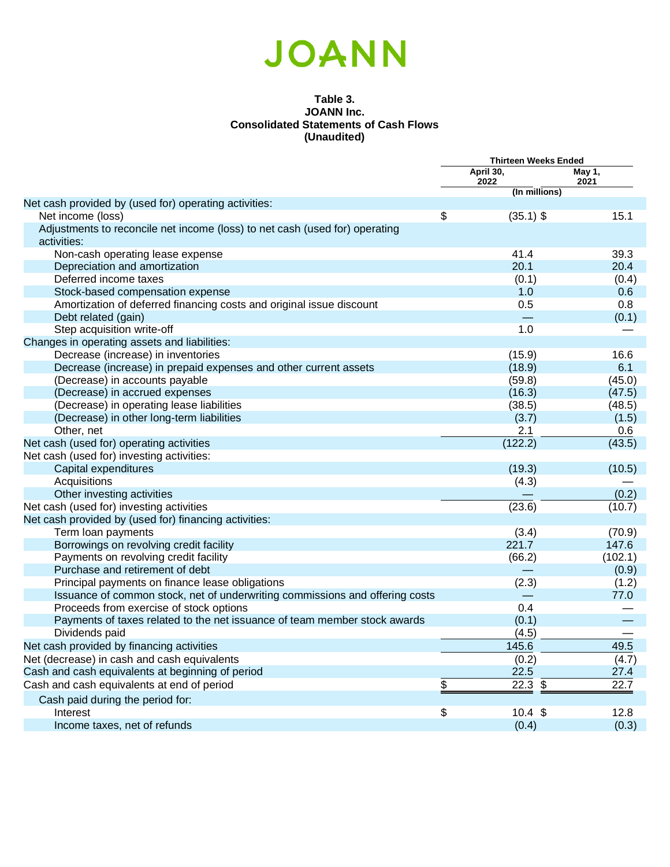#### **Table 3. JOANN Inc. Consolidated Statements of Cash Flows (Unaudited)**

|                                                                              | <b>Thirteen Weeks Ended</b> |                |
|------------------------------------------------------------------------------|-----------------------------|----------------|
|                                                                              | April 30,<br>2022           | May 1,<br>2021 |
|                                                                              | (In millions)               |                |
| Net cash provided by (used for) operating activities:                        |                             |                |
| Net income (loss)                                                            | \$<br>$(35.1)$ \$           | 15.1           |
| Adjustments to reconcile net income (loss) to net cash (used for) operating  |                             |                |
| activities:                                                                  |                             |                |
| Non-cash operating lease expense                                             | 41.4                        | 39.3           |
| Depreciation and amortization                                                | 20.1                        | 20.4           |
| Deferred income taxes                                                        | (0.1)                       | (0.4)          |
| Stock-based compensation expense                                             | 1.0                         | 0.6            |
| Amortization of deferred financing costs and original issue discount         | 0.5                         | 0.8            |
| Debt related (gain)                                                          |                             | (0.1)          |
| Step acquisition write-off                                                   | 1.0                         |                |
| Changes in operating assets and liabilities:                                 |                             |                |
| Decrease (increase) in inventories                                           | (15.9)                      | 16.6           |
| Decrease (increase) in prepaid expenses and other current assets             | (18.9)                      | 6.1            |
| (Decrease) in accounts payable                                               | (59.8)                      | (45.0)         |
| (Decrease) in accrued expenses                                               | (16.3)                      | (47.5)         |
| (Decrease) in operating lease liabilities                                    | (38.5)                      | (48.5)         |
| (Decrease) in other long-term liabilities                                    | (3.7)                       | (1.5)          |
| Other, net                                                                   | 2.1                         | 0.6            |
| Net cash (used for) operating activities                                     | (122.2)                     | (43.5)         |
| Net cash (used for) investing activities:                                    |                             |                |
| Capital expenditures                                                         | (19.3)                      | (10.5)         |
| Acquisitions                                                                 | (4.3)                       |                |
| Other investing activities                                                   |                             | (0.2)          |
| Net cash (used for) investing activities                                     | (23.6)                      | (10.7)         |
| Net cash provided by (used for) financing activities:                        |                             |                |
| Term loan payments                                                           | (3.4)                       | (70.9)         |
| Borrowings on revolving credit facility                                      | 221.7                       | 147.6          |
| Payments on revolving credit facility                                        | (66.2)                      | (102.1)        |
| Purchase and retirement of debt                                              |                             | (0.9)          |
| Principal payments on finance lease obligations                              | (2.3)                       | (1.2)          |
| Issuance of common stock, net of underwriting commissions and offering costs |                             | 77.0           |
| Proceeds from exercise of stock options                                      | 0.4                         |                |
| Payments of taxes related to the net issuance of team member stock awards    | (0.1)                       |                |
| Dividends paid                                                               | (4.5)                       |                |
| Net cash provided by financing activities                                    | 145.6                       | 49.5           |
| Net (decrease) in cash and cash equivalents                                  | (0.2)                       | (4.7)          |
| Cash and cash equivalents at beginning of period                             | 22.5                        | 27.4           |
| Cash and cash equivalents at end of period                                   | \$<br>\$<br>22.3            | 22.7           |
| Cash paid during the period for:                                             |                             |                |
| Interest                                                                     | \$<br>10.4 \$               | 12.8           |
| Income taxes, net of refunds                                                 | (0.4)                       | (0.3)          |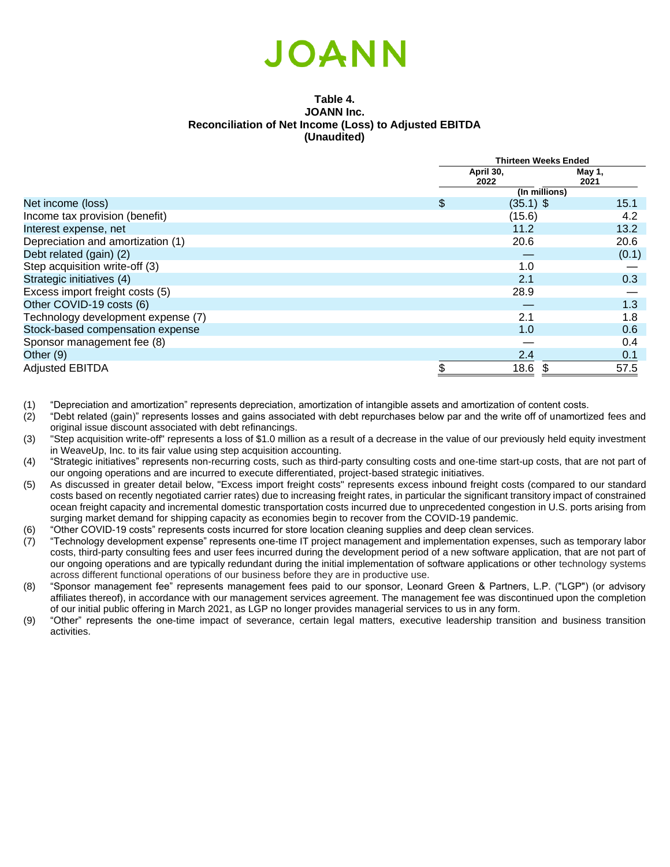#### **Table 4. JOANN Inc. Reconciliation of Net Income (Loss) to Adjusted EBITDA (Unaudited)**

|                                    | <b>Thirteen Weeks Ended</b> |             |        |  |
|------------------------------------|-----------------------------|-------------|--------|--|
|                                    |                             | April 30,   | May 1, |  |
|                                    |                             | 2022        | 2021   |  |
|                                    | (In millions)               |             |        |  |
| Net income (loss)                  | \$                          | $(35.1)$ \$ | 15.1   |  |
| Income tax provision (benefit)     |                             | (15.6)      | 4.2    |  |
| Interest expense, net              |                             | 11.2        | 13.2   |  |
| Depreciation and amortization (1)  |                             | 20.6        | 20.6   |  |
| Debt related (gain) (2)            |                             |             | (0.1)  |  |
| Step acquisition write-off (3)     |                             | 1.0         |        |  |
| Strategic initiatives (4)          |                             | 2.1         | 0.3    |  |
| Excess import freight costs (5)    |                             | 28.9        |        |  |
| Other COVID-19 costs (6)           |                             |             | 1.3    |  |
| Technology development expense (7) |                             | 2.1         | 1.8    |  |
| Stock-based compensation expense   |                             | 1.0         | 0.6    |  |
| Sponsor management fee (8)         |                             |             | 0.4    |  |
| Other (9)                          |                             | 2.4         | 0.1    |  |
| <b>Adjusted EBITDA</b>             | ደ                           | 18.6        | 57.5   |  |

(1) "Depreciation and amortization" represents depreciation, amortization of intangible assets and amortization of content costs.

- (2) "Debt related (gain)" represents losses and gains associated with debt repurchases below par and the write off of unamortized fees and original issue discount associated with debt refinancings.
- (3) "Step acquisition write-off" represents a loss of \$1.0 million as a result of a decrease in the value of our previously held equity investment in WeaveUp, Inc. to its fair value using step acquisition accounting.
- (4) "Strategic initiatives" represents non-recurring costs, such as third-party consulting costs and one-time start-up costs, that are not part of our ongoing operations and are incurred to execute differentiated, project-based strategic initiatives.
- (5) As discussed in greater detail below, "Excess import freight costs" represents excess inbound freight costs (compared to our standard costs based on recently negotiated carrier rates) due to increasing freight rates, in particular the significant transitory impact of constrained ocean freight capacity and incremental domestic transportation costs incurred due to unprecedented congestion in U.S. ports arising from surging market demand for shipping capacity as economies begin to recover from the COVID-19 pandemic.
- (6) "Other COVID-19 costs" represents costs incurred for store location cleaning supplies and deep clean services.
- (7) "Technology development expense" represents one-time IT project management and implementation expenses, such as temporary labor costs, third-party consulting fees and user fees incurred during the development period of a new software application, that are not part of our ongoing operations and are typically redundant during the initial implementation of software applications or other technology systems across different functional operations of our business before they are in productive use.
- (8) "Sponsor management fee" represents management fees paid to our sponsor, Leonard Green & Partners, L.P. ("LGP") (or advisory affiliates thereof), in accordance with our management services agreement. The management fee was discontinued upon the completion of our initial public offering in March 2021, as LGP no longer provides managerial services to us in any form.
- (9) "Other" represents the one-time impact of severance, certain legal matters, executive leadership transition and business transition activities.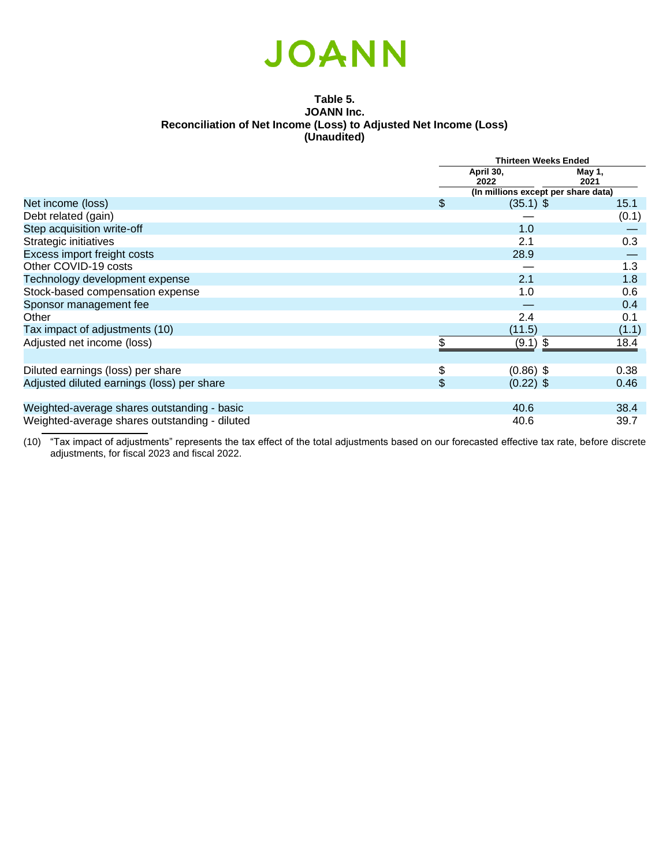#### **Table 5. JOANN Inc. Reconciliation of Net Income (Loss) to Adjusted Net Income (Loss) (Unaudited)**

|                                               | <b>Thirteen Weeks Ended</b>         |                |  |
|-----------------------------------------------|-------------------------------------|----------------|--|
|                                               | April 30,<br>2022                   | May 1,<br>2021 |  |
|                                               | (In millions except per share data) |                |  |
| Net income (loss)                             | \$<br>$(35.1)$ \$                   | 15.1           |  |
| Debt related (gain)                           |                                     | (0.1)          |  |
| Step acquisition write-off                    | 1.0                                 |                |  |
| Strategic initiatives                         | 2.1                                 | 0.3            |  |
| Excess import freight costs                   | 28.9                                |                |  |
| Other COVID-19 costs                          |                                     | 1.3            |  |
| Technology development expense                | 2.1                                 | 1.8            |  |
| Stock-based compensation expense              | 1.0                                 | 0.6            |  |
| Sponsor management fee                        |                                     | 0.4            |  |
| Other                                         | 2.4                                 | 0.1            |  |
| Tax impact of adjustments (10)                | (11.5)                              | (1.1)          |  |
| Adjusted net income (loss)                    | $(9.1)$ \$                          | 18.4           |  |
|                                               |                                     |                |  |
| Diluted earnings (loss) per share             | \$<br>$(0.86)$ \$                   | 0.38           |  |
| Adjusted diluted earnings (loss) per share    | \$<br>$(0.22)$ \$                   | 0.46           |  |
|                                               |                                     |                |  |
| Weighted-average shares outstanding - basic   | 40.6                                | 38.4           |  |
| Weighted-average shares outstanding - diluted | 40.6                                | 39.7           |  |

(10) "Tax impact of adjustments" represents the tax effect of the total adjustments based on our forecasted effective tax rate, before discrete adjustments, for fiscal 2023 and fiscal 2022.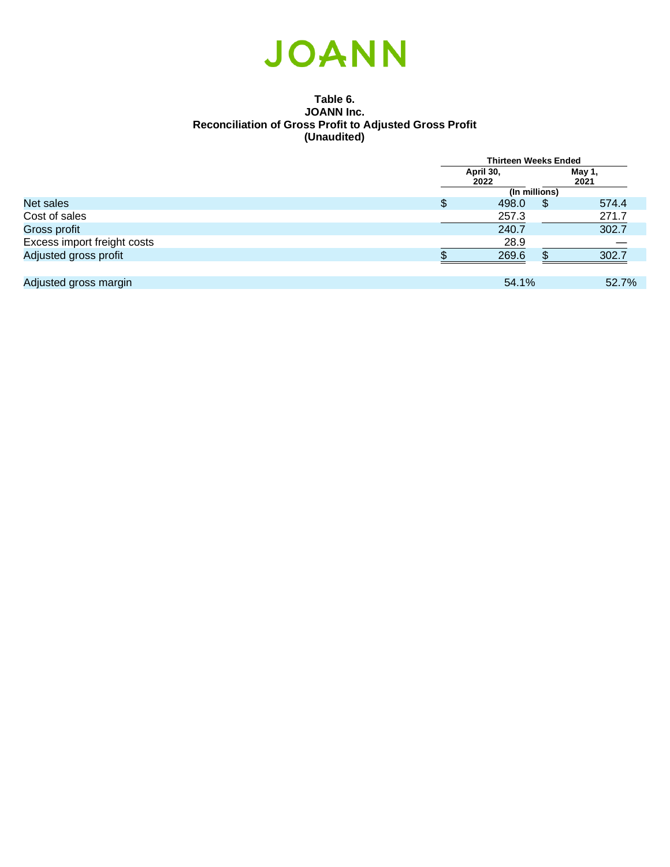

#### **Table 6. JOANN Inc. Reconciliation of Gross Profit to Adjusted Gross Profit (Unaudited)**

|                             |   | <b>Thirteen Weeks Ended</b> |   |                |
|-----------------------------|---|-----------------------------|---|----------------|
|                             |   | April 30,<br>2022           |   | May 1,<br>2021 |
|                             |   | (In millions)               |   |                |
| Net sales                   | Ψ | 498.0                       | S | 574.4          |
| Cost of sales               |   | 257.3                       |   | 271.7          |
| Gross profit                |   | 240.7                       |   | 302.7          |
| Excess import freight costs |   | 28.9                        |   |                |
| Adjusted gross profit       |   | 269.6                       |   | 302.7          |
|                             |   |                             |   |                |
| Adjusted gross margin       |   | 54.1%                       |   | 52.7%          |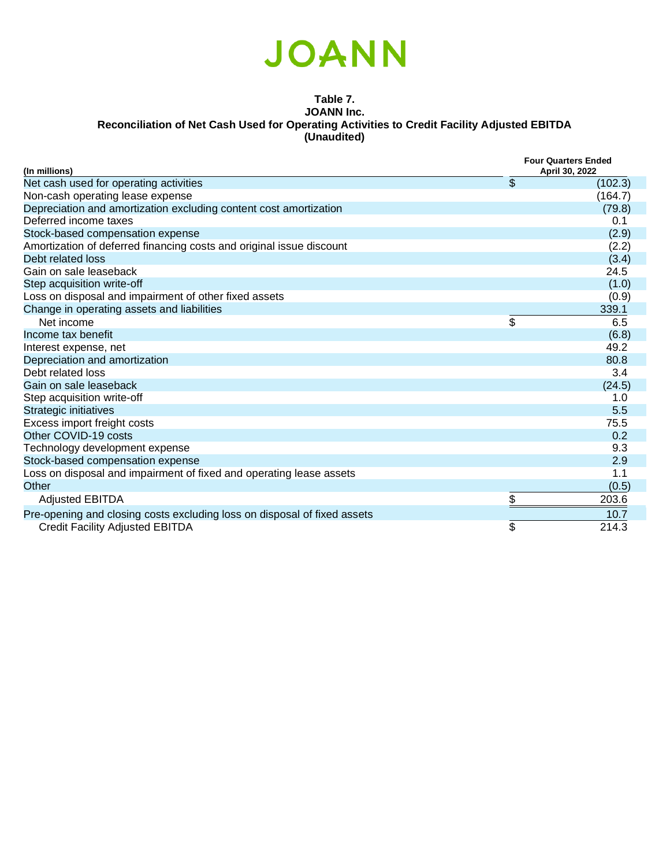

#### **Table 7. JOANN Inc. Reconciliation of Net Cash Used for Operating Activities to Credit Facility Adjusted EBITDA (Unaudited)**

| (In millions)                                                            | <b>Four Quarters Ended</b><br>April 30, 2022 |         |  |
|--------------------------------------------------------------------------|----------------------------------------------|---------|--|
| Net cash used for operating activities                                   | \$                                           | (102.3) |  |
| Non-cash operating lease expense                                         |                                              | (164.7) |  |
| Depreciation and amortization excluding content cost amortization        |                                              | (79.8)  |  |
| Deferred income taxes                                                    |                                              | 0.1     |  |
| Stock-based compensation expense                                         |                                              | (2.9)   |  |
| Amortization of deferred financing costs and original issue discount     |                                              | (2.2)   |  |
| Debt related loss                                                        |                                              | (3.4)   |  |
| Gain on sale leaseback                                                   |                                              | 24.5    |  |
| Step acquisition write-off                                               |                                              | (1.0)   |  |
| Loss on disposal and impairment of other fixed assets                    |                                              | (0.9)   |  |
| Change in operating assets and liabilities                               |                                              | 339.1   |  |
| Net income                                                               | \$                                           | 6.5     |  |
| Income tax benefit                                                       |                                              | (6.8)   |  |
| Interest expense, net                                                    |                                              | 49.2    |  |
| Depreciation and amortization                                            |                                              | 80.8    |  |
| Debt related loss                                                        |                                              | 3.4     |  |
| Gain on sale leaseback                                                   |                                              | (24.5)  |  |
| Step acquisition write-off                                               |                                              | 1.0     |  |
| Strategic initiatives                                                    |                                              | 5.5     |  |
| Excess import freight costs                                              |                                              | 75.5    |  |
| Other COVID-19 costs                                                     |                                              | 0.2     |  |
| Technology development expense                                           |                                              | 9.3     |  |
| Stock-based compensation expense                                         |                                              | 2.9     |  |
| Loss on disposal and impairment of fixed and operating lease assets      |                                              | 1.1     |  |
| Other                                                                    |                                              | (0.5)   |  |
| <b>Adjusted EBITDA</b>                                                   | \$                                           | 203.6   |  |
| Pre-opening and closing costs excluding loss on disposal of fixed assets |                                              | 10.7    |  |
| Credit Facility Adjusted EBITDA                                          | \$                                           | 214.3   |  |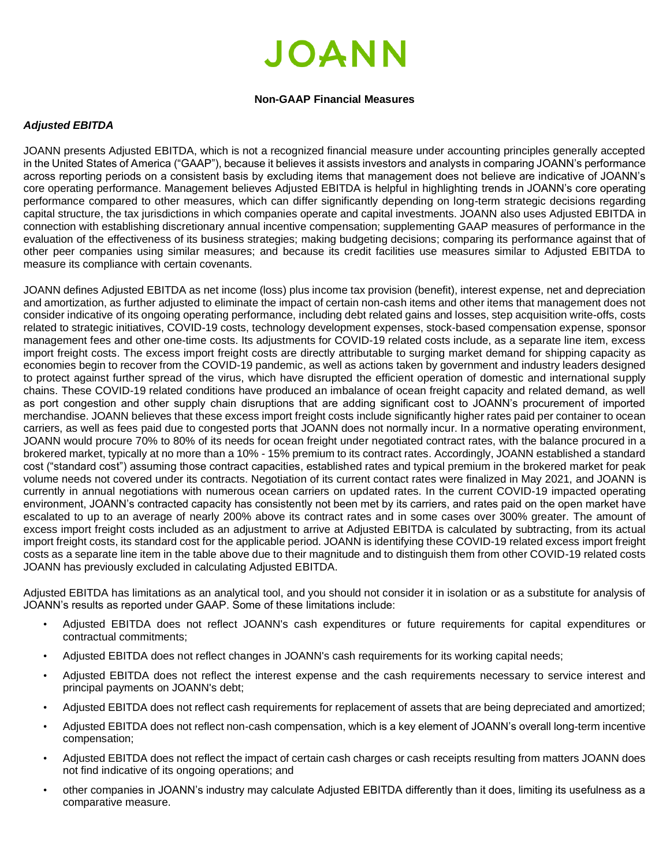#### **Non-GAAP Financial Measures**

#### *Adjusted EBITDA*

JOANN presents Adjusted EBITDA, which is not a recognized financial measure under accounting principles generally accepted in the United States of America ("GAAP"), because it believes it assists investors and analysts in comparing JOANN's performance across reporting periods on a consistent basis by excluding items that management does not believe are indicative of JOANN's core operating performance. Management believes Adjusted EBITDA is helpful in highlighting trends in JOANN's core operating performance compared to other measures, which can differ significantly depending on long-term strategic decisions regarding capital structure, the tax jurisdictions in which companies operate and capital investments. JOANN also uses Adjusted EBITDA in connection with establishing discretionary annual incentive compensation; supplementing GAAP measures of performance in the evaluation of the effectiveness of its business strategies; making budgeting decisions; comparing its performance against that of other peer companies using similar measures; and because its credit facilities use measures similar to Adjusted EBITDA to measure its compliance with certain covenants.

JOANN defines Adjusted EBITDA as net income (loss) plus income tax provision (benefit), interest expense, net and depreciation and amortization, as further adjusted to eliminate the impact of certain non-cash items and other items that management does not consider indicative of its ongoing operating performance, including debt related gains and losses, step acquisition write-offs, costs related to strategic initiatives, COVID-19 costs, technology development expenses, stock-based compensation expense, sponsor management fees and other one-time costs. Its adjustments for COVID-19 related costs include, as a separate line item, excess import freight costs. The excess import freight costs are directly attributable to surging market demand for shipping capacity as economies begin to recover from the COVID-19 pandemic, as well as actions taken by government and industry leaders designed to protect against further spread of the virus, which have disrupted the efficient operation of domestic and international supply chains. These COVID-19 related conditions have produced an imbalance of ocean freight capacity and related demand, as well as port congestion and other supply chain disruptions that are adding significant cost to JOANN's procurement of imported merchandise. JOANN believes that these excess import freight costs include significantly higher rates paid per container to ocean carriers, as well as fees paid due to congested ports that JOANN does not normally incur. In a normative operating environment, JOANN would procure 70% to 80% of its needs for ocean freight under negotiated contract rates, with the balance procured in a brokered market, typically at no more than a 10% - 15% premium to its contract rates. Accordingly, JOANN established a standard cost ("standard cost") assuming those contract capacities, established rates and typical premium in the brokered market for peak volume needs not covered under its contracts. Negotiation of its current contact rates were finalized in May 2021, and JOANN is currently in annual negotiations with numerous ocean carriers on updated rates. In the current COVID-19 impacted operating environment, JOANN's contracted capacity has consistently not been met by its carriers, and rates paid on the open market have escalated to up to an average of nearly 200% above its contract rates and in some cases over 300% greater. The amount of excess import freight costs included as an adjustment to arrive at Adjusted EBITDA is calculated by subtracting, from its actual import freight costs, its standard cost for the applicable period. JOANN is identifying these COVID-19 related excess import freight costs as a separate line item in the table above due to their magnitude and to distinguish them from other COVID-19 related costs JOANN has previously excluded in calculating Adjusted EBITDA.

Adjusted EBITDA has limitations as an analytical tool, and you should not consider it in isolation or as a substitute for analysis of JOANN's results as reported under GAAP. Some of these limitations include:

- Adjusted EBITDA does not reflect JOANN's cash expenditures or future requirements for capital expenditures or contractual commitments;
- Adjusted EBITDA does not reflect changes in JOANN's cash requirements for its working capital needs;
- Adjusted EBITDA does not reflect the interest expense and the cash requirements necessary to service interest and principal payments on JOANN's debt;
- Adjusted EBITDA does not reflect cash requirements for replacement of assets that are being depreciated and amortized;
- Adjusted EBITDA does not reflect non-cash compensation, which is a key element of JOANN's overall long-term incentive compensation;
- Adjusted EBITDA does not reflect the impact of certain cash charges or cash receipts resulting from matters JOANN does not find indicative of its ongoing operations; and
- other companies in JOANN's industry may calculate Adjusted EBITDA differently than it does, limiting its usefulness as a comparative measure.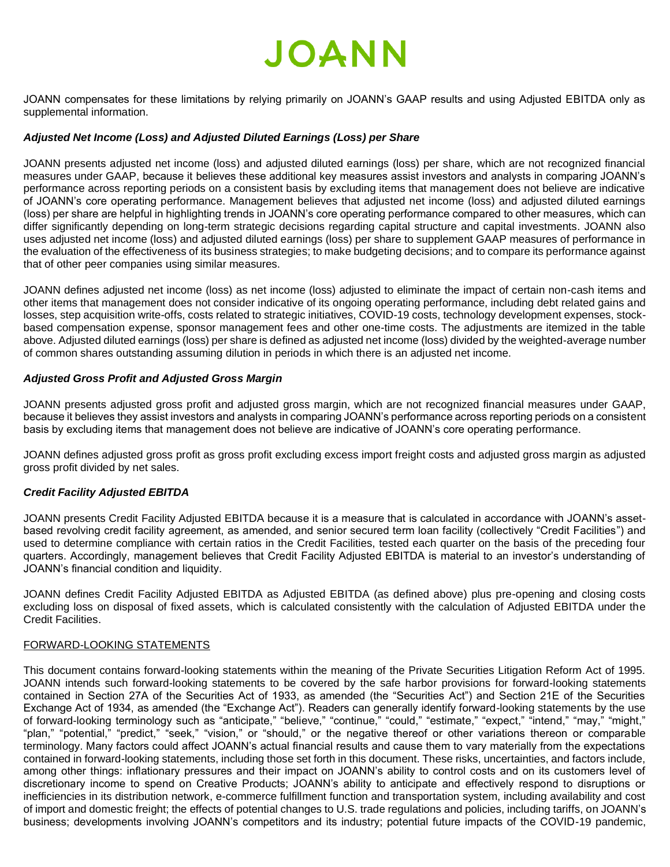JOANN compensates for these limitations by relying primarily on JOANN's GAAP results and using Adjusted EBITDA only as supplemental information.

#### *Adjusted Net Income (Loss) and Adjusted Diluted Earnings (Loss) per Share*

JOANN presents adjusted net income (loss) and adjusted diluted earnings (loss) per share, which are not recognized financial measures under GAAP, because it believes these additional key measures assist investors and analysts in comparing JOANN's performance across reporting periods on a consistent basis by excluding items that management does not believe are indicative of JOANN's core operating performance. Management believes that adjusted net income (loss) and adjusted diluted earnings (loss) per share are helpful in highlighting trends in JOANN's core operating performance compared to other measures, which can differ significantly depending on long-term strategic decisions regarding capital structure and capital investments. JOANN also uses adjusted net income (loss) and adjusted diluted earnings (loss) per share to supplement GAAP measures of performance in the evaluation of the effectiveness of its business strategies; to make budgeting decisions; and to compare its performance against that of other peer companies using similar measures.

JOANN defines adjusted net income (loss) as net income (loss) adjusted to eliminate the impact of certain non-cash items and other items that management does not consider indicative of its ongoing operating performance, including debt related gains and losses, step acquisition write-offs, costs related to strategic initiatives, COVID-19 costs, technology development expenses, stockbased compensation expense, sponsor management fees and other one-time costs. The adjustments are itemized in the table above. Adjusted diluted earnings (loss) per share is defined as adjusted net income (loss) divided by the weighted-average number of common shares outstanding assuming dilution in periods in which there is an adjusted net income.

#### *Adjusted Gross Profit and Adjusted Gross Margin*

JOANN presents adjusted gross profit and adjusted gross margin, which are not recognized financial measures under GAAP, because it believes they assist investors and analysts in comparing JOANN's performance across reporting periods on a consistent basis by excluding items that management does not believe are indicative of JOANN's core operating performance.

JOANN defines adjusted gross profit as gross profit excluding excess import freight costs and adjusted gross margin as adjusted gross profit divided by net sales.

#### *Credit Facility Adjusted EBITDA*

JOANN presents Credit Facility Adjusted EBITDA because it is a measure that is calculated in accordance with JOANN's assetbased revolving credit facility agreement, as amended, and senior secured term loan facility (collectively "Credit Facilities") and used to determine compliance with certain ratios in the Credit Facilities, tested each quarter on the basis of the preceding four quarters. Accordingly, management believes that Credit Facility Adjusted EBITDA is material to an investor's understanding of JOANN's financial condition and liquidity.

JOANN defines Credit Facility Adjusted EBITDA as Adjusted EBITDA (as defined above) plus pre-opening and closing costs excluding loss on disposal of fixed assets, which is calculated consistently with the calculation of Adjusted EBITDA under the Credit Facilities.

#### FORWARD-LOOKING STATEMENTS

This document contains forward-looking statements within the meaning of the Private Securities Litigation Reform Act of 1995. JOANN intends such forward-looking statements to be covered by the safe harbor provisions for forward-looking statements contained in Section 27A of the Securities Act of 1933, as amended (the "Securities Act") and Section 21E of the Securities Exchange Act of 1934, as amended (the "Exchange Act"). Readers can generally identify forward-looking statements by the use of forward-looking terminology such as "anticipate," "believe," "continue," "could," "estimate," "expect," "intend," "may," "might," "plan," "potential," "predict," "seek," "vision," or "should," or the negative thereof or other variations thereon or comparable terminology. Many factors could affect JOANN's actual financial results and cause them to vary materially from the expectations contained in forward-looking statements, including those set forth in this document. These risks, uncertainties, and factors include, among other things: inflationary pressures and their impact on JOANN's ability to control costs and on its customers level of discretionary income to spend on Creative Products; JOANN's ability to anticipate and effectively respond to disruptions or inefficiencies in its distribution network, e-commerce fulfillment function and transportation system, including availability and cost of import and domestic freight; the effects of potential changes to U.S. trade regulations and policies, including tariffs, on JOANN's business; developments involving JOANN's competitors and its industry; potential future impacts of the COVID-19 pandemic,